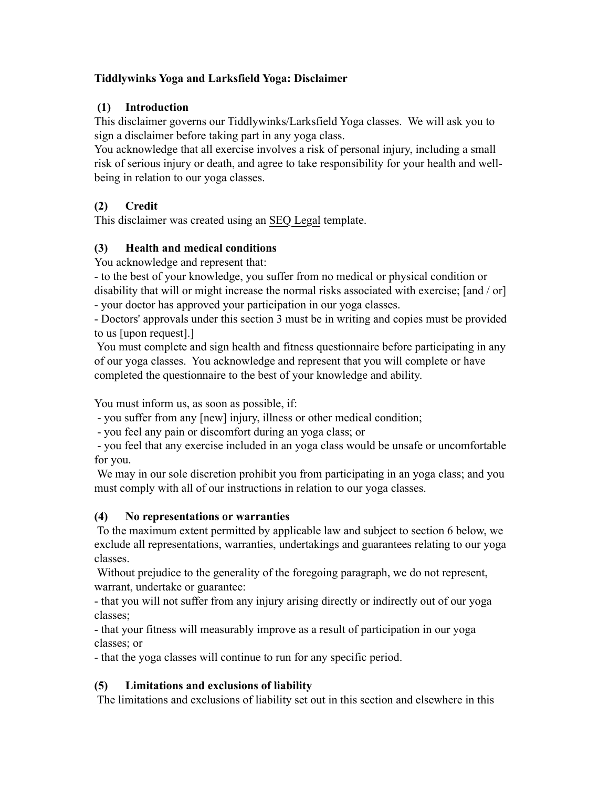## **Tiddlywinks Yoga and Larksfield Yoga: Disclaimer**

# **(1) Introduction**

This disclaimer governs our Tiddlywinks/Larksfield Yoga classes. We will ask you to sign a disclaimer before taking part in any yoga class.

You acknowledge that all exercise involves a risk of personal injury, including a small risk of serious injury or death, and agree to take responsibility for your health and wellbeing in relation to our yoga classes.

# **(2) Credit**

This disclaimer was created using an [SEQ Legal](http://www.seqlegal.com/) template.

# **(3) Health and medical conditions**

You acknowledge and represent that:

- to the best of your knowledge, you suffer from no medical or physical condition or disability that will or might increase the normal risks associated with exercise; [and / or]

- your doctor has approved your participation in our yoga classes.

- Doctors' approvals under this section 3 must be in writing and copies must be provided to us [upon request].]

 You must complete and sign health and fitness questionnaire before participating in any of our yoga classes. You acknowledge and represent that you will complete or have completed the questionnaire to the best of your knowledge and ability.

You must inform us, as soon as possible, if:

- you suffer from any [new] injury, illness or other medical condition;

- you feel any pain or discomfort during an yoga class; or

 - you feel that any exercise included in an yoga class would be unsafe or uncomfortable for you.

We may in our sole discretion prohibit you from participating in an yoga class; and you must comply with all of our instructions in relation to our yoga classes.

# **(4) No representations or warranties**

 To the maximum extent permitted by applicable law and subject to section 6 below, we exclude all representations, warranties, undertakings and guarantees relating to our yoga classes.

 Without prejudice to the generality of the foregoing paragraph, we do not represent, warrant, undertake or guarantee:

- that you will not suffer from any injury arising directly or indirectly out of our yoga classes;

- that your fitness will measurably improve as a result of participation in our yoga classes; or

- that the yoga classes will continue to run for any specific period.

# **(5) Limitations and exclusions of liability**

The limitations and exclusions of liability set out in this section and elsewhere in this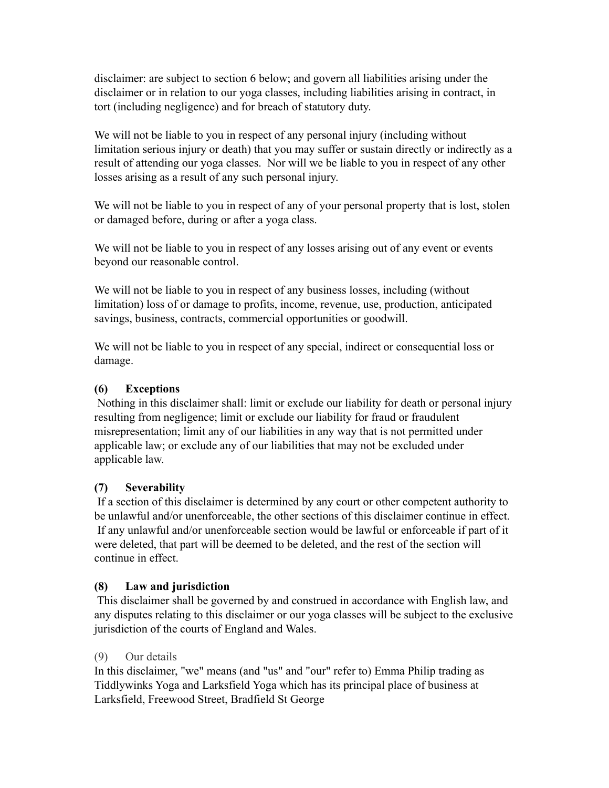disclaimer: are subject to section 6 below; and govern all liabilities arising under the disclaimer or in relation to our yoga classes, including liabilities arising in contract, in tort (including negligence) and for breach of statutory duty.

We will not be liable to you in respect of any personal injury (including without limitation serious injury or death) that you may suffer or sustain directly or indirectly as a result of attending our yoga classes. Nor will we be liable to you in respect of any other losses arising as a result of any such personal injury.

We will not be liable to you in respect of any of your personal property that is lost, stolen or damaged before, during or after a yoga class.

We will not be liable to you in respect of any losses arising out of any event or events beyond our reasonable control.

We will not be liable to you in respect of any business losses, including (without limitation) loss of or damage to profits, income, revenue, use, production, anticipated savings, business, contracts, commercial opportunities or goodwill.

We will not be liable to you in respect of any special, indirect or consequential loss or damage.

# **(6) Exceptions**

 Nothing in this disclaimer shall: limit or exclude our liability for death or personal injury resulting from negligence; limit or exclude our liability for fraud or fraudulent misrepresentation; limit any of our liabilities in any way that is not permitted under applicable law; or exclude any of our liabilities that may not be excluded under applicable law.

## **(7) Severability**

 If a section of this disclaimer is determined by any court or other competent authority to be unlawful and/or unenforceable, the other sections of this disclaimer continue in effect. If any unlawful and/or unenforceable section would be lawful or enforceable if part of it were deleted, that part will be deemed to be deleted, and the rest of the section will continue in effect.

## **(8) Law and jurisdiction**

 This disclaimer shall be governed by and construed in accordance with English law, and any disputes relating to this disclaimer or our yoga classes will be subject to the exclusive jurisdiction of the courts of England and Wales.

## (9) Our details

In this disclaimer, "we" means (and "us" and "our" refer to) Emma Philip trading as Tiddlywinks Yoga and Larksfield Yoga which has its principal place of business at Larksfield, Freewood Street, Bradfield St George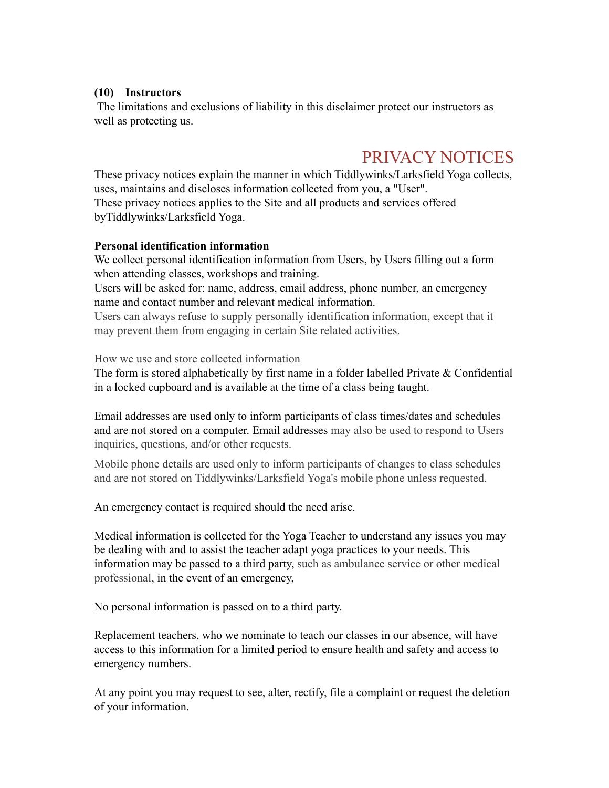#### **(10) Instructors**

 The limitations and exclusions of liability in this disclaimer protect our instructors as well as protecting us.

# PRIVACY NOTICES

These privacy notices explain the manner in which Tiddlywinks/Larksfield Yoga collects, uses, maintains and discloses information collected from you, a "User". These privacy notices applies to the Site and all products and services offered byTiddlywinks/Larksfield Yoga.

#### **Personal identification information**

We collect personal identification information from Users, by Users filling out a form when attending classes, workshops and training.

Users will be asked for: name, address, email address, phone number, an emergency name and contact number and relevant medical information.

Users can always refuse to supply personally identification information, except that it may prevent them from engaging in certain Site related activities.

How we use and store collected information

The form is stored alphabetically by first name in a folder labelled Private & Confidential in a locked cupboard and is available at the time of a class being taught.

Email addresses are used only to inform participants of class times/dates and schedules and are not stored on a computer. Email addresses may also be used to respond to Users inquiries, questions, and/or other requests.

Mobile phone details are used only to inform participants of changes to class schedules and are not stored on Tiddlywinks/Larksfield Yoga's mobile phone unless requested.

An emergency contact is required should the need arise.

Medical information is collected for the Yoga Teacher to understand any issues you may be dealing with and to assist the teacher adapt yoga practices to your needs. This information may be passed to a third party, such as ambulance service or other medical professional, in the event of an emergency,

No personal information is passed on to a third party.

Replacement teachers, who we nominate to teach our classes in our absence, will have access to this information for a limited period to ensure health and safety and access to emergency numbers.

At any point you may request to see, alter, rectify, file a complaint or request the deletion of your information.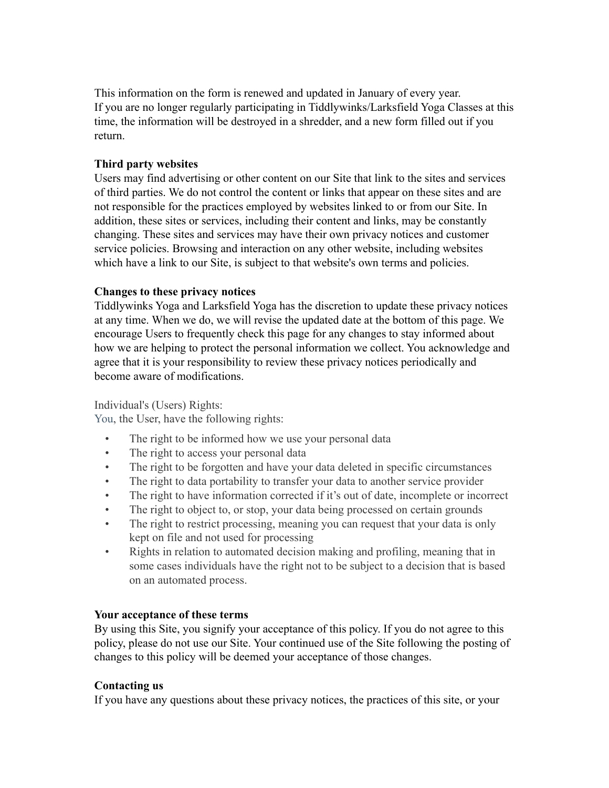This information on the form is renewed and updated in January of every year. If you are no longer regularly participating in Tiddlywinks/Larksfield Yoga Classes at this time, the information will be destroyed in a shredder, and a new form filled out if you return.

#### **Third party websites**

Users may find advertising or other content on our Site that link to the sites and services of third parties. We do not control the content or links that appear on these sites and are not responsible for the practices employed by websites linked to or from our Site. In addition, these sites or services, including their content and links, may be constantly changing. These sites and services may have their own privacy notices and customer service policies. Browsing and interaction on any other website, including websites which have a link to our Site, is subject to that website's own terms and policies.

#### **Changes to these privacy notices**

Tiddlywinks Yoga and Larksfield Yoga has the discretion to update these privacy notices at any time. When we do, we will revise the updated date at the bottom of this page. We encourage Users to frequently check this page for any changes to stay informed about how we are helping to protect the personal information we collect. You acknowledge and agree that it is your responsibility to review these privacy notices periodically and become aware of modifications.

## Individual's (Users) Rights:

You, the User, have the following rights:

- The right to be informed how we use your personal data
- The right to access your personal data
- The right to be forgotten and have your data deleted in specific circumstances
- The right to data portability to transfer your data to another service provider
- The right to have information corrected if it's out of date, incomplete or incorrect
- The right to object to, or stop, your data being processed on certain grounds
- The right to restrict processing, meaning you can request that your data is only kept on file and not used for processing
- Rights in relation to automated decision making and profiling, meaning that in some cases individuals have the right not to be subject to a decision that is based on an automated process.

#### **Your acceptance of these terms**

By using this Site, you signify your acceptance of this policy. If you do not agree to this policy, please do not use our Site. Your continued use of the Site following the posting of changes to this policy will be deemed your acceptance of those changes.

#### **Contacting us**

If you have any questions about these privacy notices, the practices of this site, or your